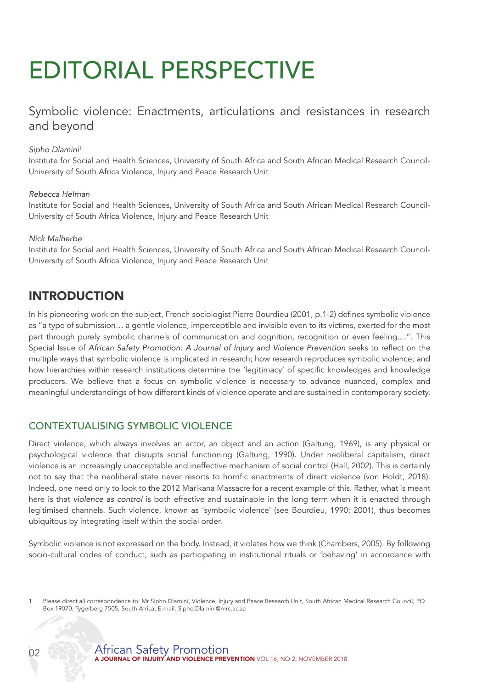# EDITORIAL PERSPECTIVE

Symbolic violence: Enactments, articulations and resistances in research and beyond

### *Sipho Dlamini1*

Institute for Social and Health Sciences, University of South Africa and South African Medical Research Council-University of South Africa Violence, Injury and Peace Research Unit

#### *Rebecca Helman*

Institute for Social and Health Sciences, University of South Africa and South African Medical Research Council-University of South Africa Violence, Injury and Peace Research Unit

#### *Nick Malherbe*

Institute for Social and Health Sciences, University of South Africa and South African Medical Research Council-University of South Africa Violence, Injury and Peace Research Unit

# INTRODUCTION

In his pioneering work on the subject, French sociologist Pierre Bourdieu (2001, p.1-2) defines symbolic violence as "a type of submission… a gentle violence, imperceptible and invisible even to its victims, exerted for the most part through purely symbolic channels of communication and cognition, recognition or even feeling....". This Special Issue of *African Safety Promotion: A Journal of Injury and Violence Prevention* seeks to reflect on the multiple ways that symbolic violence is implicated in research; how research reproduces symbolic violence; and how hierarchies within research institutions determine the 'legitimacy' of specific knowledges and knowledge producers. We believe that a focus on symbolic violence is necessary to advance nuanced, complex and meaningful understandings of how different kinds of violence operate and are sustained in contemporary society.

## CONTEXTUALISING SYMBOLIC VIOLENCE

Direct violence, which always involves an actor, an object and an action (Galtung, 1969), is any physical or psychological violence that disrupts social functioning (Galtung, 1990). Under neoliberal capitalism, direct violence is an increasingly unacceptable and ineffective mechanism of social control (Hall, 2002). This is certainly not to say that the neoliberal state never resorts to horrific enactments of direct violence (von Holdt, 2018). Indeed, one need only to look to the 2012 Marikana Massacre for a recent example of this. Rather, what is meant here is that *violence as control* is both effective and sustainable in the long term when it is enacted through legitimised channels. Such violence, known as 'symbolic violence' (see Bourdieu, 1990; 2001), thus becomes ubiquitous by integrating itself within the social order.

Symbolic violence is not expressed on the body. Instead, it violates how we think (Chambers, 2005). By following socio-cultural codes of conduct, such as participating in institutional rituals or 'behaving' in accordance with

<sup>1</sup> Please direct all correspondence to: Mr Sipho Dlamini, Violence, Injury and Peace Research Unit, South African Medical Research Council, PO Box 19070, Tygerberg 7505, South Africa; E-mail: Sipho.Dlamini@mrc.ac.za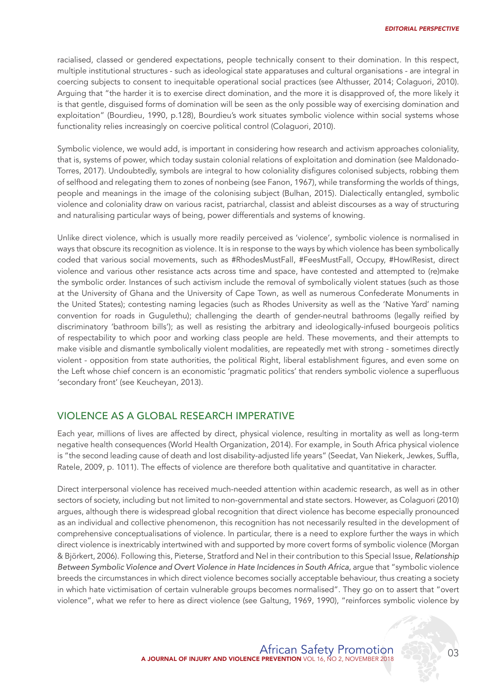racialised, classed or gendered expectations, people technically consent to their domination. In this respect, multiple institutional structures - such as ideological state apparatuses and cultural organisations - are integral in coercing subjects to consent to inequitable operational social practices (see Althusser, 2014; Colaguori, 2010). Arguing that "the harder it is to exercise direct domination, and the more it is disapproved of, the more likely it is that gentle, disguised forms of domination will be seen as the only possible way of exercising domination and exploitation" (Bourdieu, 1990, p.128), Bourdieu's work situates symbolic violence within social systems whose functionality relies increasingly on coercive political control (Colaguori, 2010).

Symbolic violence, we would add, is important in considering how research and activism approaches coloniality, that is, systems of power, which today sustain colonial relations of exploitation and domination (see Maldonado-Torres, 2017). Undoubtedly, symbols are integral to how coloniality disfigures colonised subjects, robbing them of selfhood and relegating them to zones of nonbeing (see Fanon, 1967), while transforming the worlds of things, people and meanings in the image of the colonising subject (Bulhan, 2015). Dialectically entangled, symbolic violence and coloniality draw on various racist, patriarchal, classist and ableist discourses as a way of structuring and naturalising particular ways of being, power differentials and systems of knowing.

Unlike direct violence, which is usually more readily perceived as 'violence', symbolic violence is normalised in ways that obscure its recognition as violence. It is in response to the ways by which violence has been symbolically coded that various social movements, such as #RhodesMustFall, #FeesMustFall, Occupy, #HowIResist, direct violence and various other resistance acts across time and space, have contested and attempted to (re)make the symbolic order. Instances of such activism include the removal of symbolically violent statues (such as those at the University of Ghana and the University of Cape Town, as well as numerous Confederate Monuments in the United States); contesting naming legacies (such as Rhodes University as well as the 'Native Yard' naming convention for roads in Gugulethu); challenging the dearth of gender-neutral bathrooms (legally reified by discriminatory 'bathroom bills'); as well as resisting the arbitrary and ideologically-infused bourgeois politics of respectability to which poor and working class people are held. These movements, and their attempts to make visible and dismantle symbolically violent modalities, are repeatedly met with strong - sometimes directly violent - opposition from state authorities, the political Right, liberal establishment figures, and even some on the Left whose chief concern is an economistic 'pragmatic politics' that renders symbolic violence a superfluous 'secondary front' (see Keucheyan, 2013).

## VIOLENCE AS A GLOBAL RESEARCH IMPERATIVE

Each year, millions of lives are affected by direct, physical violence, resulting in mortality as well as long-term negative health consequences (World Health Organization, 2014). For example, in South Africa physical violence is "the second leading cause of death and lost disability-adjusted life years" (Seedat, Van Niekerk, Jewkes, Suffla, Ratele, 2009, p. 1011). The effects of violence are therefore both qualitative and quantitative in character.

Direct interpersonal violence has received much-needed attention within academic research, as well as in other sectors of society, including but not limited to non-governmental and state sectors. However, as Colaguori (2010) argues, although there is widespread global recognition that direct violence has become especially pronounced as an individual and collective phenomenon, this recognition has not necessarily resulted in the development of comprehensive conceptualisations of violence. In particular, there is a need to explore further the ways in which direct violence is inextricably intertwined with and supported by more covert forms of symbolic violence (Morgan & Björkert, 2006). Following this, Pieterse, Stratford and Nel in their contribution to this Special Issue, *Relationship*  Between Symbolic Violence and Overt Violence in Hate Incidences in South Africa, arque that "symbolic violence breeds the circumstances in which direct violence becomes socially acceptable behaviour, thus creating a society in which hate victimisation of certain vulnerable groups becomes normalised". They go on to assert that "overt violence", what we refer to here as direct violence (see Galtung, 1969, 1990), "reinforces symbolic violence by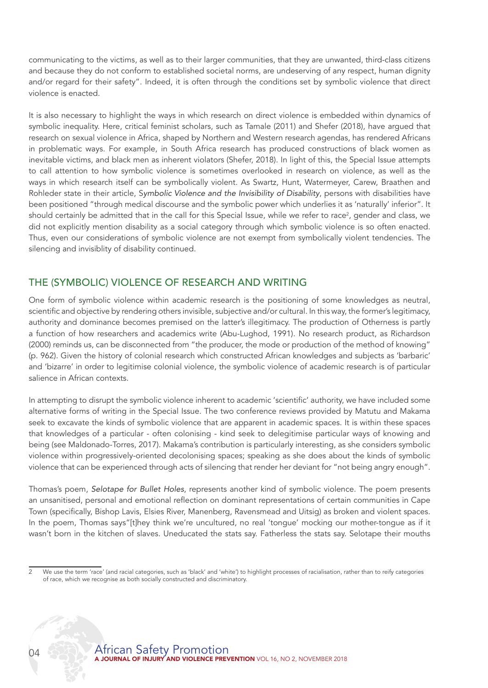communicating to the victims, as well as to their larger communities, that they are unwanted, third-class citizens and because they do not conform to established societal norms, are undeserving of any respect, human dignity and/or regard for their safety". Indeed, it is often through the conditions set by symbolic violence that direct violence is enacted.

It is also necessary to highlight the ways in which research on direct violence is embedded within dynamics of symbolic inequality. Here, critical feminist scholars, such as Tamale (2011) and Shefer (2018), have argued that research on sexual violence in Africa, shaped by Northern and Western research agendas, has rendered Africans in problematic ways. For example, in South Africa research has produced constructions of black women as inevitable victims, and black men as inherent violators (Shefer, 2018). In light of this, the Special Issue attempts to call attention to how symbolic violence is sometimes overlooked in research on violence, as well as the ways in which research itself can be symbolically violent. As Swartz, Hunt, Watermeyer, Carew, Braathen and Rohleder state in their article, S*ymbolic Violence and the Invisibility of Disability*, persons with disabilities have been positioned "through medical discourse and the symbolic power which underlies it as 'naturally' inferior". It should certainly be admitted that in the call for this Special Issue, while we refer to race<sup>2</sup>, gender and class, we did not explicitly mention disability as a social category through which symbolic violence is so often enacted. Thus, even our considerations of symbolic violence are not exempt from symbolically violent tendencies. The silencing and invisiblity of disability continued.

## THE (SYMBOLIC) VIOLENCE OF RESEARCH AND WRITING

One form of symbolic violence within academic research is the positioning of some knowledges as neutral, scientific and objective by rendering others invisible, subjective and/or cultural. In this way, the former's legitimacy, authority and dominance becomes premised on the latter's illegitimacy. The production of Otherness is partly a function of how researchers and academics write (Abu-Lughod, 1991). No research product, as Richardson (2000) reminds us, can be disconnected from "the producer, the mode or production of the method of knowing" (p. 962). Given the history of colonial research which constructed African knowledges and subjects as 'barbaric' and 'bizarre' in order to legitimise colonial violence, the symbolic violence of academic research is of particular salience in African contexts.

In attempting to disrupt the symbolic violence inherent to academic 'scientific' authority, we have included some alternative forms of writing in the Special Issue. The two conference reviews provided by Matutu and Makama seek to excavate the kinds of symbolic violence that are apparent in academic spaces. It is within these spaces that knowledges of a particular - often colonising - kind seek to delegitimise particular ways of knowing and being (see Maldonado-Torres, 2017). Makama's contribution is particularly interesting, as she considers symbolic violence within progressively-oriented decolonising spaces; speaking as she does about the kinds of symbolic violence that can be experienced through acts of silencing that render her deviant for "not being angry enough".

Thomas's poem, *Selotape for Bullet Holes*, represents another kind of symbolic violence. The poem presents an unsanitised, personal and emotional reflection on dominant representations of certain communities in Cape Town (specifically, Bishop Lavis, Elsies River, Manenberg, Ravensmead and Uitsig) as broken and violent spaces. In the poem, Thomas says"[t]hey think we're uncultured, no real 'tongue' mocking our mother-tongue as if it wasn't born in the kitchen of slaves. Uneducated the stats say. Fatherless the stats say. Selotape their mouths



<sup>2</sup> We use the term 'race' (and racial categories, such as 'black' and 'white') to highlight processes of racialisation, rather than to reify categories of race, which we recognise as both socially constructed and discriminatory.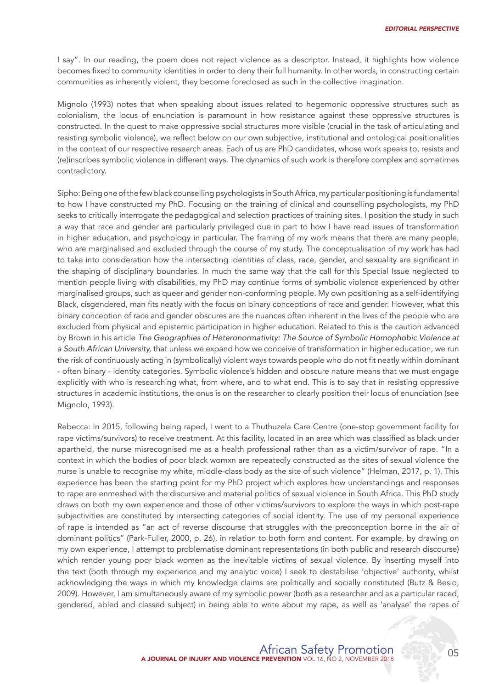I say". In our reading, the poem does not reject violence as a descriptor. Instead, it highlights how violence becomes fixed to community identities in order to deny their full humanity. In other words, in constructing certain communities as inherently violent, they become foreclosed as such in the collective imagination.

Mignolo (1993) notes that when speaking about issues related to hegemonic oppressive structures such as colonialism, the locus of enunciation is paramount in how resistance against these oppressive structures is constructed. In the quest to make oppressive social structures more visible (crucial in the task of articulating and resisting symbolic violence), we reflect below on our own subjective, institutional and ontological positionalities in the context of our respective research areas. Each of us are PhD candidates, whose work speaks to, resists and (re)inscribes symbolic violence in different ways. The dynamics of such work is therefore complex and sometimes contradictory.

Sipho: Being one of the few black counselling psychologists in South Africa, my particular positioning is fundamental to how I have constructed my PhD. Focusing on the training of clinical and counselling psychologists, my PhD seeks to critically interrogate the pedagogical and selection practices of training sites. I position the study in such a way that race and gender are particularly privileged due in part to how I have read issues of transformation in higher education, and psychology in particular. The framing of my work means that there are many people, who are marginalised and excluded through the course of my study. The conceptualisation of my work has had to take into consideration how the intersecting identities of class, race, gender, and sexuality are significant in the shaping of disciplinary boundaries. In much the same way that the call for this Special Issue neglected to mention people living with disabilities, my PhD may continue forms of symbolic violence experienced by other marginalised groups, such as queer and gender non-conforming people. My own positioning as a self-identifying Black, cisgendered, man fits neatly with the focus on binary conceptions of race and gender. However, what this binary conception of race and gender obscures are the nuances often inherent in the lives of the people who are excluded from physical and epistemic participation in higher education. Related to this is the caution advanced by Brown in his article *The Geographies of Heteronormativity: The Source of Symbolic Homophobic Violence at a South African University,* that unless we expand how we conceive of transformation in higher education, we run the risk of continuously acting in (symbolically) violent ways towards people who do not fit neatly within dominant - often binary - identity categories. Symbolic violence's hidden and obscure nature means that we must engage explicitly with who is researching what, from where, and to what end. This is to say that in resisting oppressive structures in academic institutions, the onus is on the researcher to clearly position their locus of enunciation (see Mignolo, 1993).

Rebecca: In 2015, following being raped, I went to a Thuthuzela Care Centre (one-stop government facility for rape victims/survivors) to receive treatment. At this facility, located in an area which was classified as black under apartheid, the nurse misrecognised me as a health professional rather than as a victim/survivor of rape. "In a context in which the bodies of poor black womxn are repeatedly constructed as the sites of sexual violence the nurse is unable to recognise my white, middle-class body as the site of such violence" (Helman, 2017, p. 1). This experience has been the starting point for my PhD project which explores how understandings and responses to rape are enmeshed with the discursive and material politics of sexual violence in South Africa. This PhD study draws on both my own experience and those of other victims/survivors to explore the ways in which post-rape subjectivities are constituted by intersecting categories of social identity. The use of my personal experience of rape is intended as "an act of reverse discourse that struggles with the preconception borne in the air of dominant politics" (Park-Fuller, 2000, p. 26), in relation to both form and content. For example, by drawing on my own experience, I attempt to problematise dominant representations (in both public and research discourse) which render young poor black women as the inevitable victims of sexual violence. By inserting myself into the text (both through my experience and my analytic voice) I seek to destabilise 'objective' authority, whilst acknowledging the ways in which my knowledge claims are politically and socially constituted (Butz & Besio, 2009). However, I am simultaneously aware of my symbolic power (both as a researcher and as a particular raced, gendered, abled and classed subject) in being able to write about my rape, as well as 'analyse' the rapes of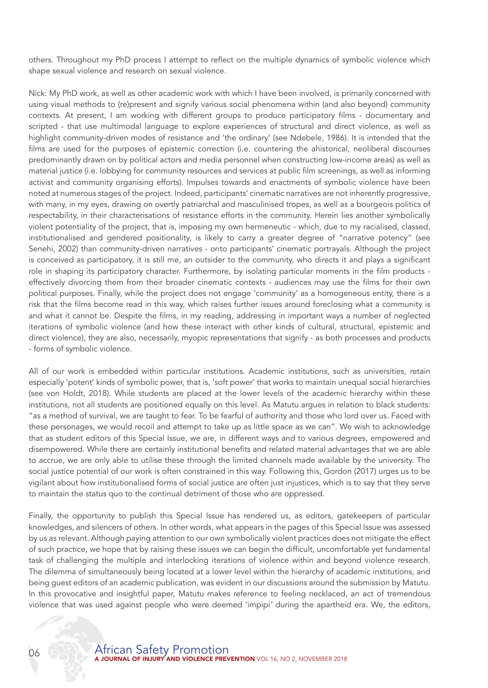others. Throughout my PhD process I attempt to reflect on the multiple dynamics of symbolic violence which shape sexual violence and research on sexual violence.

Nick: My PhD work, as well as other academic work with which I have been involved, is primarily concerned with using visual methods to (re)present and signify various social phenomena within (and also beyond) community contexts. At present, I am working with different groups to produce participatory films - documentary and scripted - that use multimodal language to explore experiences of structural and direct violence, as well as highlight community-driven modes of resistance and 'the ordinary' (see Ndebele, 1986). It is intended that the films are used for the purposes of epistemic correction (i.e. countering the ahistorical, neoliberal discourses predominantly drawn on by political actors and media personnel when constructing low-income areas) as well as material justice (i.e. lobbying for community resources and services at public film screenings, as well as informing activist and community organising efforts). Impulses towards and enactments of symbolic violence have been noted at numerous stages of the project. Indeed, participants' cinematic narratives are not inherently progressive, with many, in my eyes, drawing on overtly patriarchal and masculinised tropes, as well as a bourgeois politics of respectability, in their characterisations of resistance efforts in the community. Herein lies another symbolically violent potentiality of the project, that is, imposing my own hermeneutic - which, due to my racialised, classed, institutionalised and gendered positionality, is likely to carry a greater degree of "narrative potency" (see Senehi, 2002) than community-driven narratives - onto participants' cinematic portrayals. Although the project is conceived as participatory, it is still me, an outsider to the community, who directs it and plays a significant role in shaping its participatory character. Furthermore, by isolating particular moments in the film products effectively divorcing them from their broader cinematic contexts - audiences may use the films for their own political purposes. Finally, while the project does not engage 'community' as a homogeneous entity, there is a risk that the films become read in this way, which raises further issues around foreclosing what a community is and what it cannot be. Despite the films, in my reading, addressing in important ways a number of neglected iterations of symbolic violence (and how these interact with other kinds of cultural, structural, epistemic and direct violence), they are also, necessarily, myopic representations that signify - as both processes and products - forms of symbolic violence.

All of our work is embedded within particular institutions. Academic institutions, such as universities, retain especially 'potent' kinds of symbolic power, that is, 'soft power' that works to maintain unequal social hierarchies (see von Holdt, 2018). While students are placed at the lower levels of the academic hierarchy within these institutions, not all students are positioned equally on this level. As Matutu argues in relation to black students: "as a method of survival, we are taught to fear. To be fearful of authority and those who lord over us. Faced with these personages, we would recoil and attempt to take up as little space as we can". We wish to acknowledge that as student editors of this Special Issue, we are, in different ways and to various degrees, empowered and disempowered. While there are certainly institutional benefits and related material advantages that we are able to accrue, we are only able to utilise these through the limited channels made available by the university. The social justice potential of our work is often constrained in this way. Following this, Gordon (2017) urges us to be vigilant about how institutionalised forms of social justice are often just injustices, which is to say that they serve to maintain the status quo to the continual detriment of those who are oppressed.

Finally, the opportunity to publish this Special Issue has rendered us, as editors, gatekeepers of particular knowledges, and silencers of others. In other words, what appears in the pages of this Special Issue was assessed by us as relevant. Although paying attention to our own symbolically violent practices does not mitigate the effect of such practice, we hope that by raising these issues we can begin the difficult, uncomfortable yet fundamental task of challenging the multiple and interlocking iterations of violence within and beyond violence research. The dilemma of simultaneously being located at a lower level within the hierarchy of academic institutions, and being guest editors of an academic publication, was evident in our discussions around the submission by Matutu. In this provocative and insightful paper, Matutu makes reference to feeling necklaced, an act of tremendous violence that was used against people who were deemed 'impipi*'* during the apartheid era. We, the editors,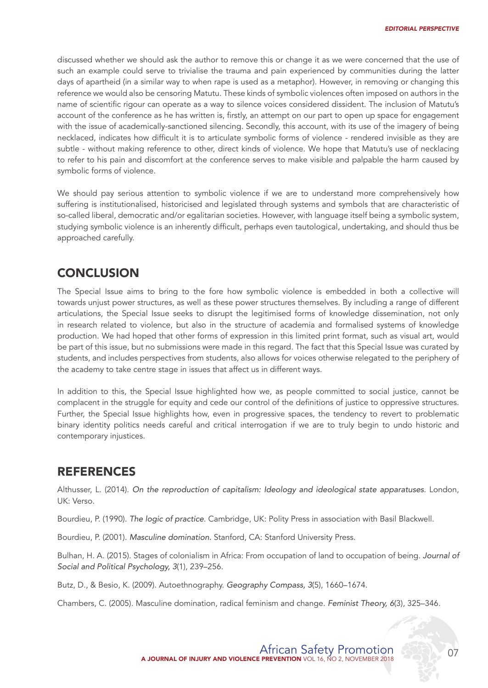discussed whether we should ask the author to remove this or change it as we were concerned that the use of such an example could serve to trivialise the trauma and pain experienced by communities during the latter days of apartheid (in a similar way to when rape is used as a metaphor). However, in removing or changing this reference we would also be censoring Matutu. These kinds of symbolic violences often imposed on authors in the name of scientific rigour can operate as a way to silence voices considered dissident. The inclusion of Matutu's account of the conference as he has written is, firstly, an attempt on our part to open up space for engagement with the issue of academically-sanctioned silencing. Secondly, this account, with its use of the imagery of being necklaced, indicates how difficult it is to articulate symbolic forms of violence - rendered invisible as they are subtle - without making reference to other, direct kinds of violence. We hope that Matutu's use of necklacing to refer to his pain and discomfort at the conference serves to make visible and palpable the harm caused by symbolic forms of violence.

We should pay serious attention to symbolic violence if we are to understand more comprehensively how suffering is institutionalised, historicised and legislated through systems and symbols that are characteristic of so-called liberal, democratic and/or egalitarian societies. However, with language itself being a symbolic system, studying symbolic violence is an inherently difficult, perhaps even tautological, undertaking, and should thus be approached carefully.

# **CONCLUSION**

The Special Issue aims to bring to the fore how symbolic violence is embedded in both a collective will towards unjust power structures, as well as these power structures themselves. By including a range of different articulations, the Special Issue seeks to disrupt the legitimised forms of knowledge dissemination, not only in research related to violence, but also in the structure of academia and formalised systems of knowledge production. We had hoped that other forms of expression in this limited print format, such as visual art, would be part of this issue, but no submissions were made in this regard. The fact that this Special Issue was curated by students, and includes perspectives from students, also allows for voices otherwise relegated to the periphery of the academy to take centre stage in issues that affect us in different ways.

In addition to this, the Special Issue highlighted how we, as people committed to social justice, cannot be complacent in the struggle for equity and cede our control of the definitions of justice to oppressive structures. Further, the Special Issue highlights how, even in progressive spaces, the tendency to revert to problematic binary identity politics needs careful and critical interrogation if we are to truly begin to undo historic and contemporary injustices.

## REFERENCES

Althusser, L. (2014). *On the reproduction of capitalism: Ideology and ideological state apparatuses*. London, UK: Verso.

Bourdieu, P. (1990). *The logic of practice*. Cambridge, UK: Polity Press in association with Basil Blackwell.

Bourdieu, P. (2001). *Masculine domination.* Stanford, CA: Stanford University Press.

Bulhan, H. A. (2015). Stages of colonialism in Africa: From occupation of land to occupation of being. *Journal of Social and Political Psychology, 3*(1), 239–256.

Butz, D., & Besio, K. (2009). Autoethnography. *Geography Compass, 3*(5), 1660–1674.

Chambers, C. (2005). Masculine domination, radical feminism and change. *Feminist Theory, 6*(3), 325–346.